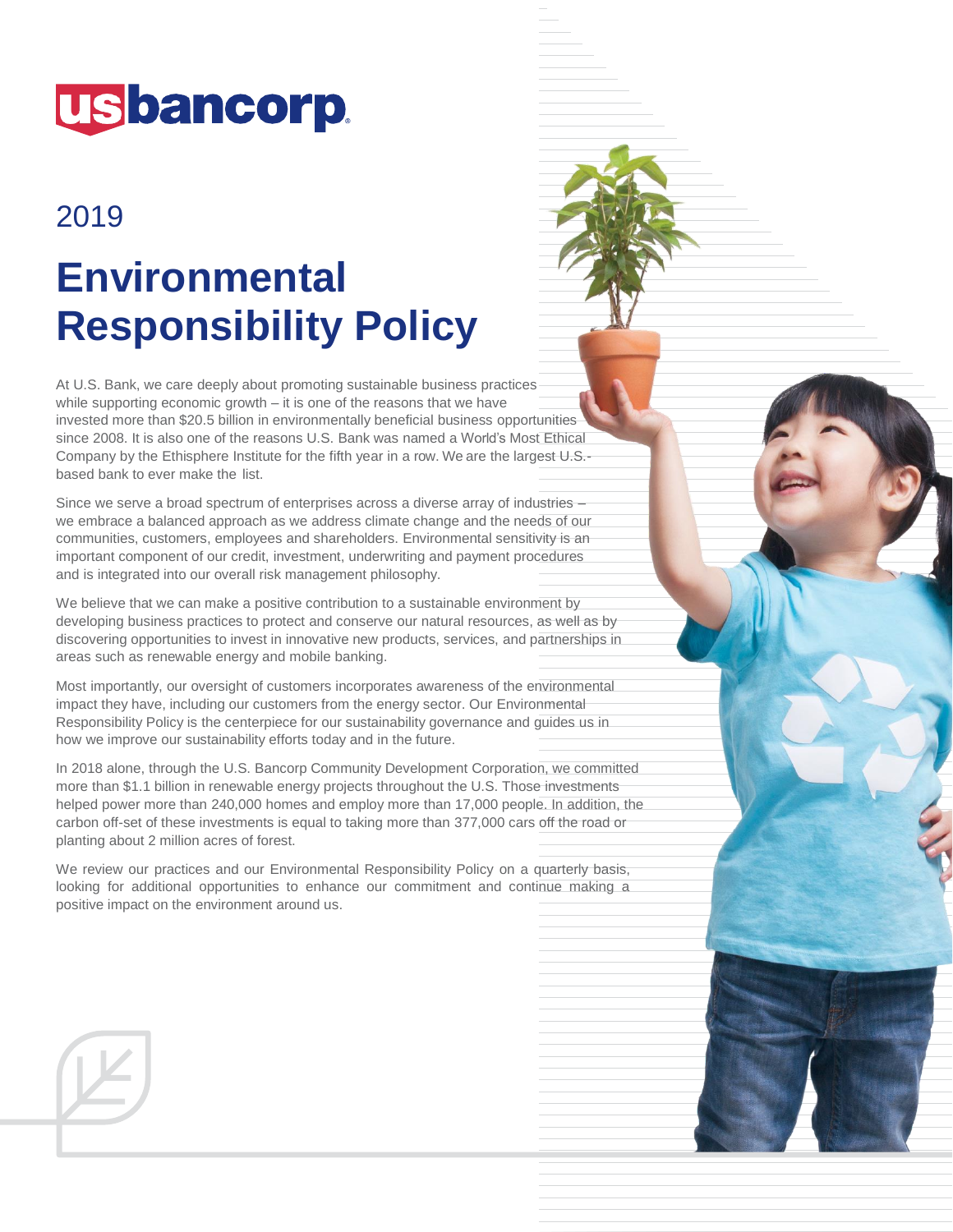

# 2019

# **Environmental Responsibility Policy**

At U.S. Bank, we care deeply about promoting sustainable business practices while supporting economic growth – it is one of the reasons that we have invested more than \$20.5 billion in environmentally beneficial business opportunities since 2008. It is also one of the reasons U.S. Bank was named a World's Most Ethical Company by the Ethisphere Institute for the fifth year in a row. We are the largest U.S.based bank to ever make the list.

Since we serve a broad spectrum of enterprises across a diverse array of industries – we embrace a balanced approach as we address climate change and the needs of our communities, customers, employees and shareholders. Environmental sensitivity is an important component of our credit, investment, underwriting and payment procedures and is integrated into our overall risk management philosophy.

We believe that we can make a positive contribution to a sustainable environment by developing business practices to protect and conserve our natural resources, as well as by discovering opportunities to invest in innovative new products, services, and partnerships in areas such as renewable energy and mobile banking.

Most importantly, our oversight of customers incorporates awareness of the environmental impact they have, including our customers from the energy sector. Our Environmental Responsibility Policy is the centerpiece for our sustainability governance and guides us in how we improve our sustainability efforts today and in the future.

In 2018 alone, through the U.S. Bancorp Community Development Corporation, we committed more than \$1.1 billion in renewable energy projects throughout the U.S. Those investments helped power more than 240,000 homes and employ more than 17,000 people. In addition, the carbon off-set of these investments is equal to taking more than 377,000 cars off the road or planting about 2 million acres of forest.

We review our practices and our Environmental Responsibility Policy on a quarterly basis, looking for additional opportunities to enhance our commitment and continue making a positive impact on the environment around us.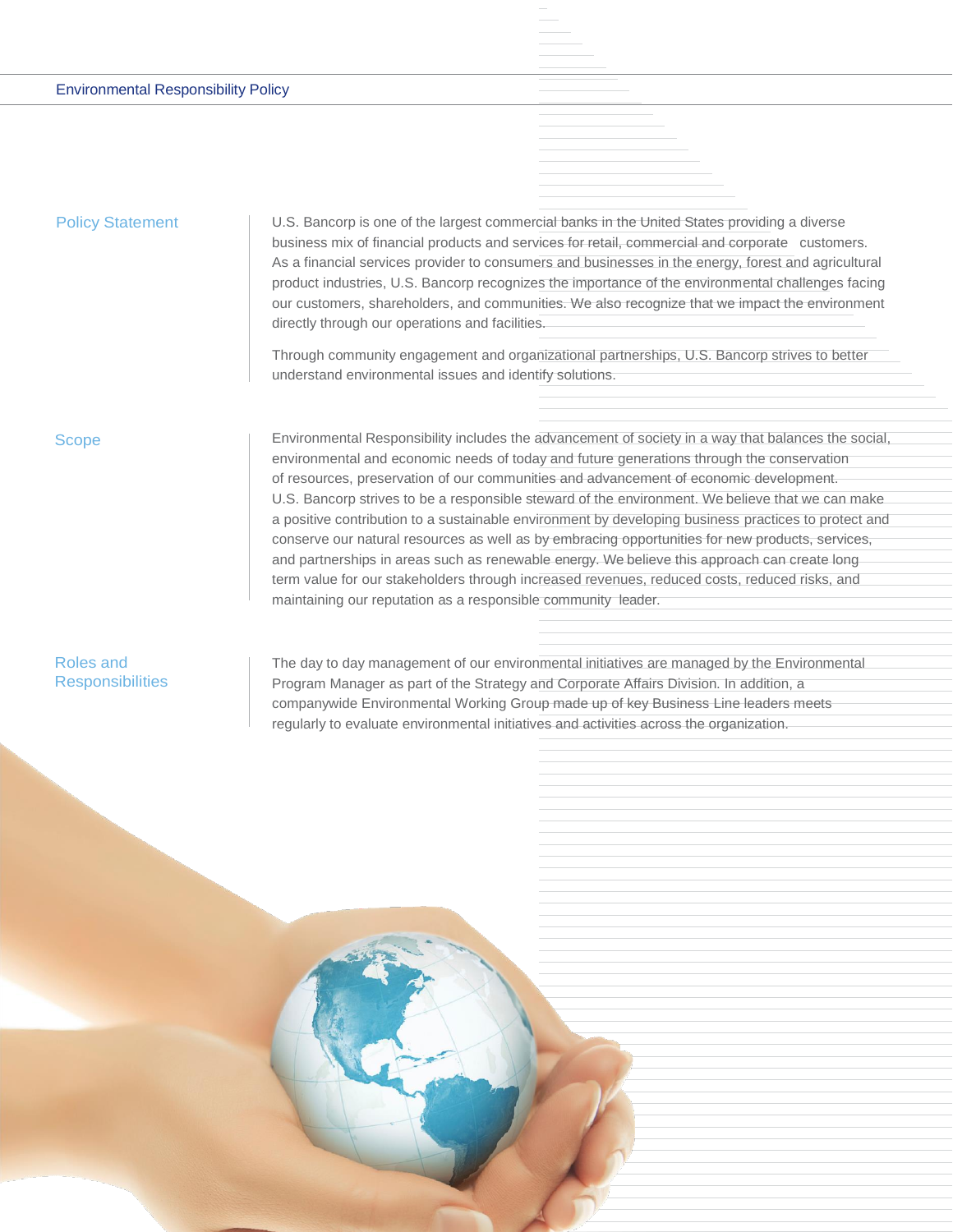#### Environmental Responsibility Policy

## Policy Statement

U.S. Bancorp is one of the largest commercial banks in the United States providing a diverse business mix of financial products and services for retail, commercial and corporate customers. As a financial services provider to consumers and businesses in the energy, forest and agricultural product industries, U.S. Bancorp recognizes the importance of the environmental challenges facing our customers, shareholders, and communities. We also recognize that we impact the environment directly through our operations and facilities.

Through community engagement and organizational partnerships, U.S. Bancorp strives to better understand environmental issues and identify solutions.

#### Scope

Environmental Responsibility includes the advancement of society in a way that balances the social, environmental and economic needs of today and future generations through the conservation of resources, preservation of our communities and advancement of economic development. U.S. Bancorp strives to be a responsible steward of the environment. We believe that we can make a positive contribution to a sustainable environment by developing business practices to protect and conserve our natural resources as well as by embracing opportunities for new products, services, and partnerships in areas such as renewable energy. We believe this approach can create long term value for our stakeholders through increased revenues, reduced costs, reduced risks, and maintaining our reputation as a responsible community leader.

# Roles and **Responsibilities**

The day to day management of our environmental initiatives are managed by the Environmental Program Manager as part of the Strategy and Corporate Affairs Division. In addition, a companywide Environmental Working Group made up of key Business Line leaders meets regularly to evaluate environmental initiatives and activities across the organization.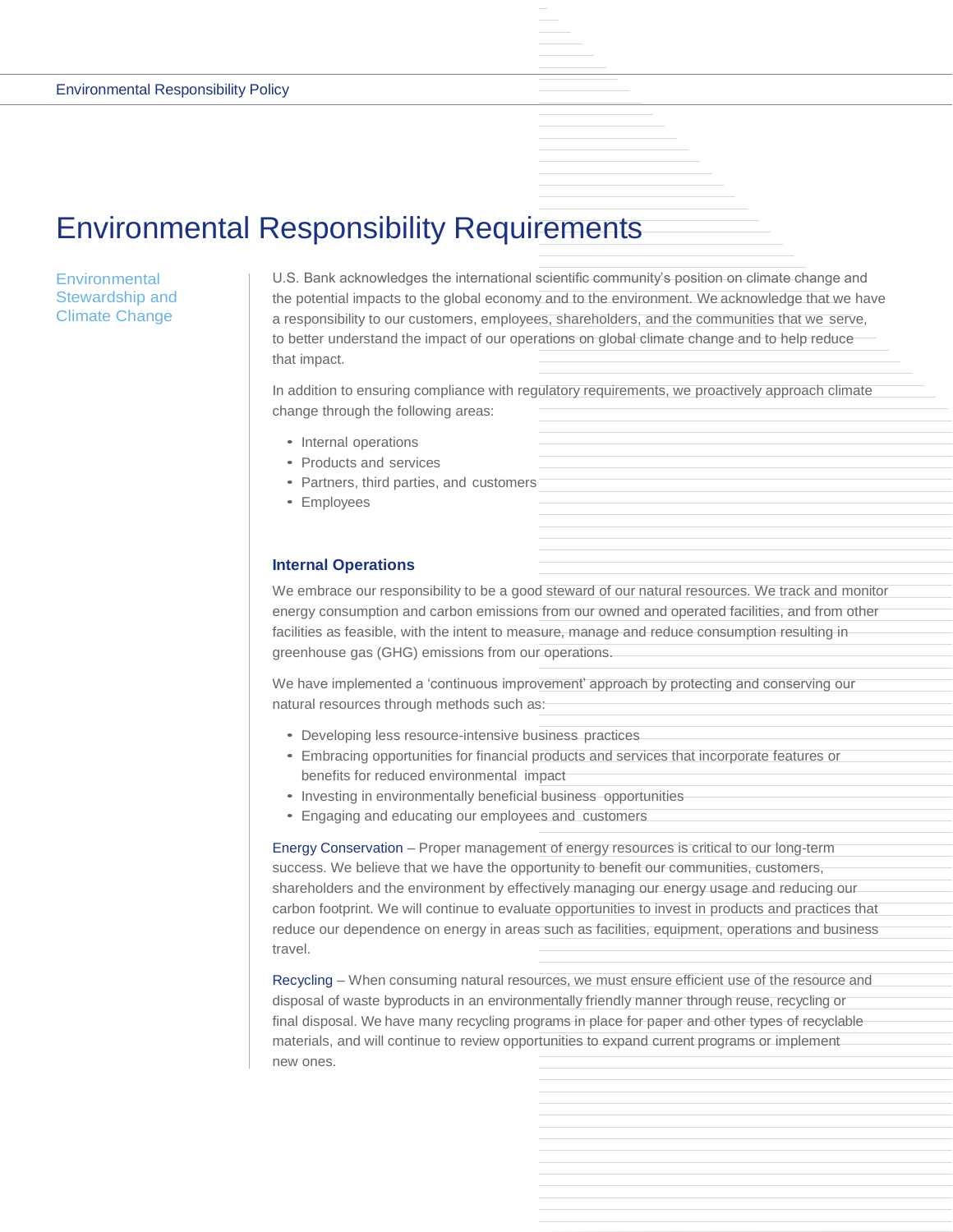# Environmental Responsibility Requirements

# **Environmental** Stewardship and Climate Change

U.S. Bank acknowledges the international scientific community's position on climate change and the potential impacts to the global economy and to the environment. We acknowledge that we have a responsibility to our customers, employees, shareholders, and the communities that we serve, to better understand the impact of our operations on global climate change and to help reduce that impact.

In addition to ensuring compliance with regulatory requirements, we proactively approach climate change through the following areas:

- Internal operations
- Products and services
- Partners, third parties, and customers
- Employees

# **Internal Operations**

We embrace our responsibility to be a good steward of our natural resources. We track and monitor energy consumption and carbon emissions from our owned and operated facilities, and from other facilities as feasible, with the intent to measure, manage and reduce consumption resulting in greenhouse gas (GHG) emissions from our operations.

We have implemented a 'continuous improvement' approach by protecting and conserving our natural resources through methods such as:

- Developing less resource-intensive business practices
- Embracing opportunities for financial products and services that incorporate features or benefits for reduced environmental impact
- Investing in environmentally beneficial business opportunities
- Engaging and educating our employees and customers

Energy Conservation – Proper management of energy resources is critical to our long-term success. We believe that we have the opportunity to benefit our communities, customers, shareholders and the environment by effectively managing our energy usage and reducing our carbon footprint. We will continue to evaluate opportunities to invest in products and practices that reduce our dependence on energy in areas such as facilities, equipment, operations and business travel.

Recycling – When consuming natural resources, we must ensure efficient use of the resource and disposal of waste byproducts in an environmentally friendly manner through reuse, recycling or final disposal. We have many recycling programs in place for paper and other types of recyclable materials, and will continue to review opportunities to expand current programs or implement new ones.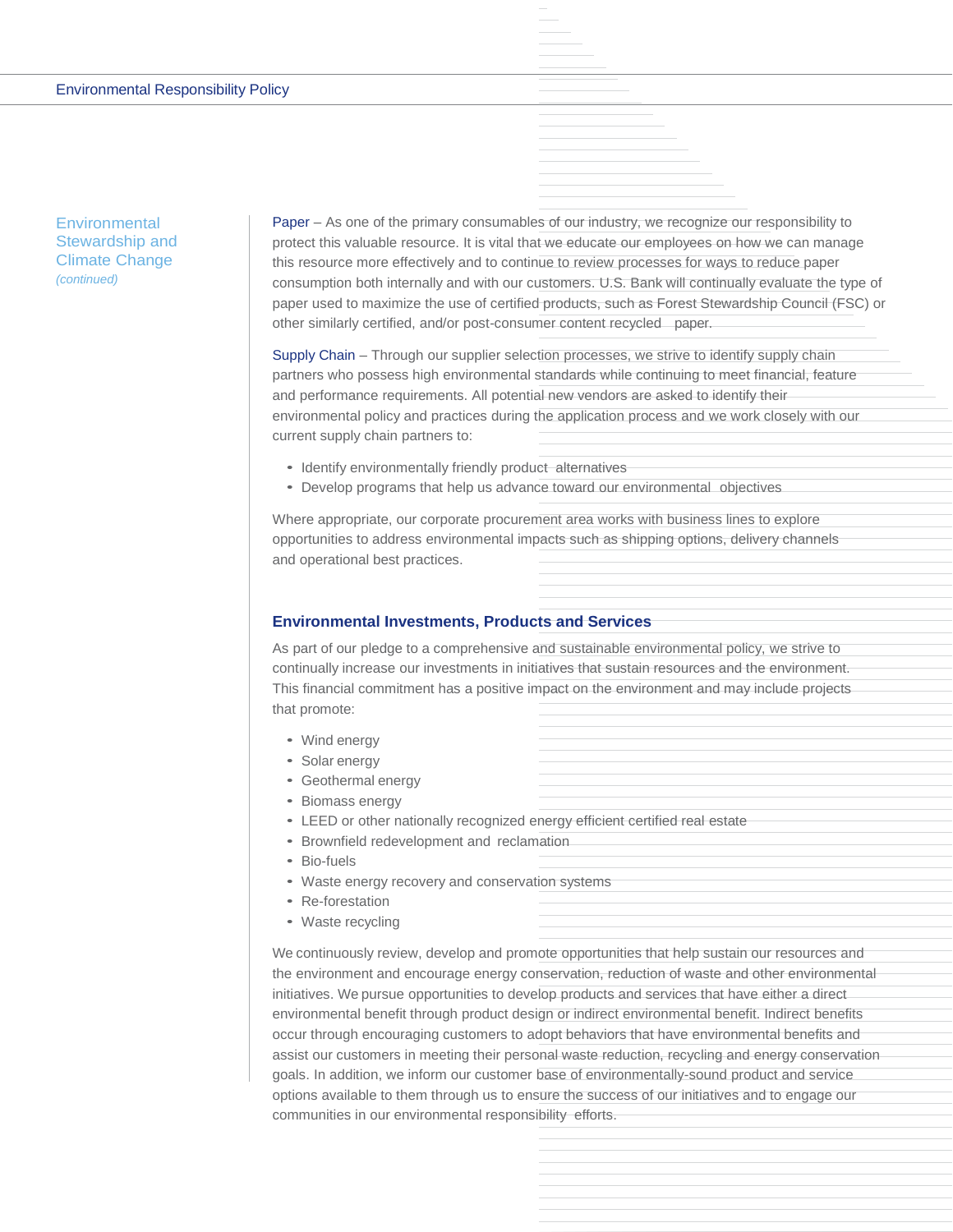**Environmental** Stewardship and Climate Change *(continued)*

Paper – As one of the primary consumables of our industry, we recognize our responsibility to protect this valuable resource. It is vital that we educate our employees on how we can manage this resource more effectively and to continue to review processes for ways to reduce paper consumption both internally and with our customers. U.S. Bank will continually evaluate the type of paper used to maximize the use of certified products, such as Forest Stewardship Council (FSC) or other similarly certified, and/or post-consumer content recycled paper.

Supply Chain – Through our supplier selection processes, we strive to identify supply chain partners who possess high environmental standards while continuing to meet financial, feature and performance requirements. All potential new vendors are asked to identify their environmental policy and practices during the application process and we work closely with our current supply chain partners to:

- Identify environmentally friendly product alternatives
- Develop programs that help us advance toward our environmental objectives

Where appropriate, our corporate procurement area works with business lines to explore opportunities to address environmental impacts such as shipping options, delivery channels and operational best practices.

#### **Environmental Investments, Products and Services**

As part of our pledge to a comprehensive and sustainable environmental policy, we strive to continually increase our investments in initiatives that sustain resources and the environment. This financial commitment has a positive impact on the environment and may include projects that promote:

- Wind energy
- Solar energy
- Geothermal energy
- Biomass energy
- LEED or other nationally recognized energy efficient certified real estate
- Brownfield redevelopment and reclamation
- Bio-fuels
- Waste energy recovery and conservation systems
- Re-forestation
- Waste recycling

We continuously review, develop and promote opportunities that help sustain our resources and the environment and encourage energy conservation, reduction of waste and other environmental initiatives. We pursue opportunities to develop products and services that have either a direct environmental benefit through product design or indirect environmental benefit. Indirect benefits occur through encouraging customers to adopt behaviors that have environmental benefits and assist our customers in meeting their personal waste reduction, recycling and energy conservation goals. In addition, we inform our customer base of environmentally-sound product and service options available to them through us to ensure the success of our initiatives and to engage our communities in our environmental responsibility efforts.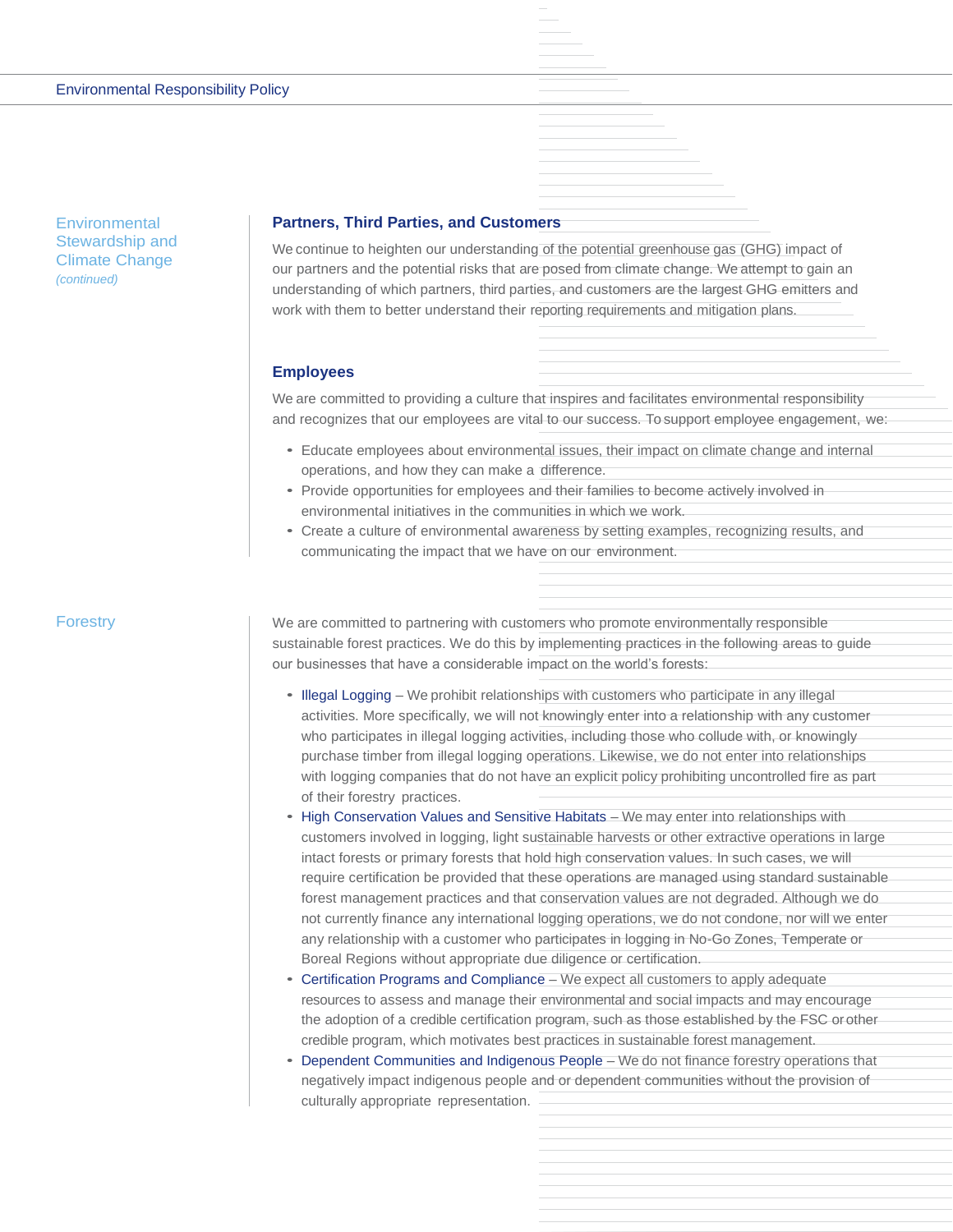**Environmental** Stewardship and Climate Change *(continued)*

# **Partners, Third Parties, and Customers**

We continue to heighten our understanding of the potential greenhouse gas (GHG) impact of our partners and the potential risks that are posed from climate change. We attempt to gain an understanding of which partners, third parties, and customers are the largest GHG emitters and work with them to better understand their reporting requirements and mitigation plans.

#### **Employees**

We are committed to providing a culture that inspires and facilitates environmental responsibility and recognizes that our employees are vital to our success. To support employee engagement, we:

- Educate employees about environmental issues, their impact on climate change and internal operations, and how they can make a difference.
- Provide opportunities for employees and their families to become actively involved in environmental initiatives in the communities in which we work.
- Create a culture of environmental awareness by setting examples, recognizing results, and communicating the impact that we have on our environment.

#### **Forestry**

We are committed to partnering with customers who promote environmentally responsible sustainable forest practices. We do this by implementing practices in the following areas to guide our businesses that have a considerable impact on the world's forests:

- Illegal Logging We prohibit relationships with customers who participate in any illegal activities. More specifically, we will not knowingly enter into a relationship with any customer who participates in illegal logging activities, including those who collude with, or knowingly purchase timber from illegal logging operations. Likewise, we do not enter into relationships with logging companies that do not have an explicit policy prohibiting uncontrolled fire as part of their forestry practices.
- High Conservation Values and Sensitive Habitats We may enter into relationships with customers involved in logging, light sustainable harvests or other extractive operations in large intact forests or primary forests that hold high conservation values. In such cases, we will require certification be provided that these operations are managed using standard sustainable forest management practices and that conservation values are not degraded. Although we do not currently finance any international logging operations, we do not condone, nor will we enter any relationship with a customer who participates in logging in No-Go Zones, Temperate or Boreal Regions without appropriate due diligence or certification.
- Certification Programs and Compliance We expect all customers to apply adequate resources to assess and manage their environmental and social impacts and may encourage the adoption of a credible certification program, such as those established by the FSC orother credible program, which motivates best practices in sustainable forest management.
- Dependent Communities and Indigenous People We do not finance forestry operations that negatively impact indigenous people and or dependent communities without the provision of culturally appropriate representation.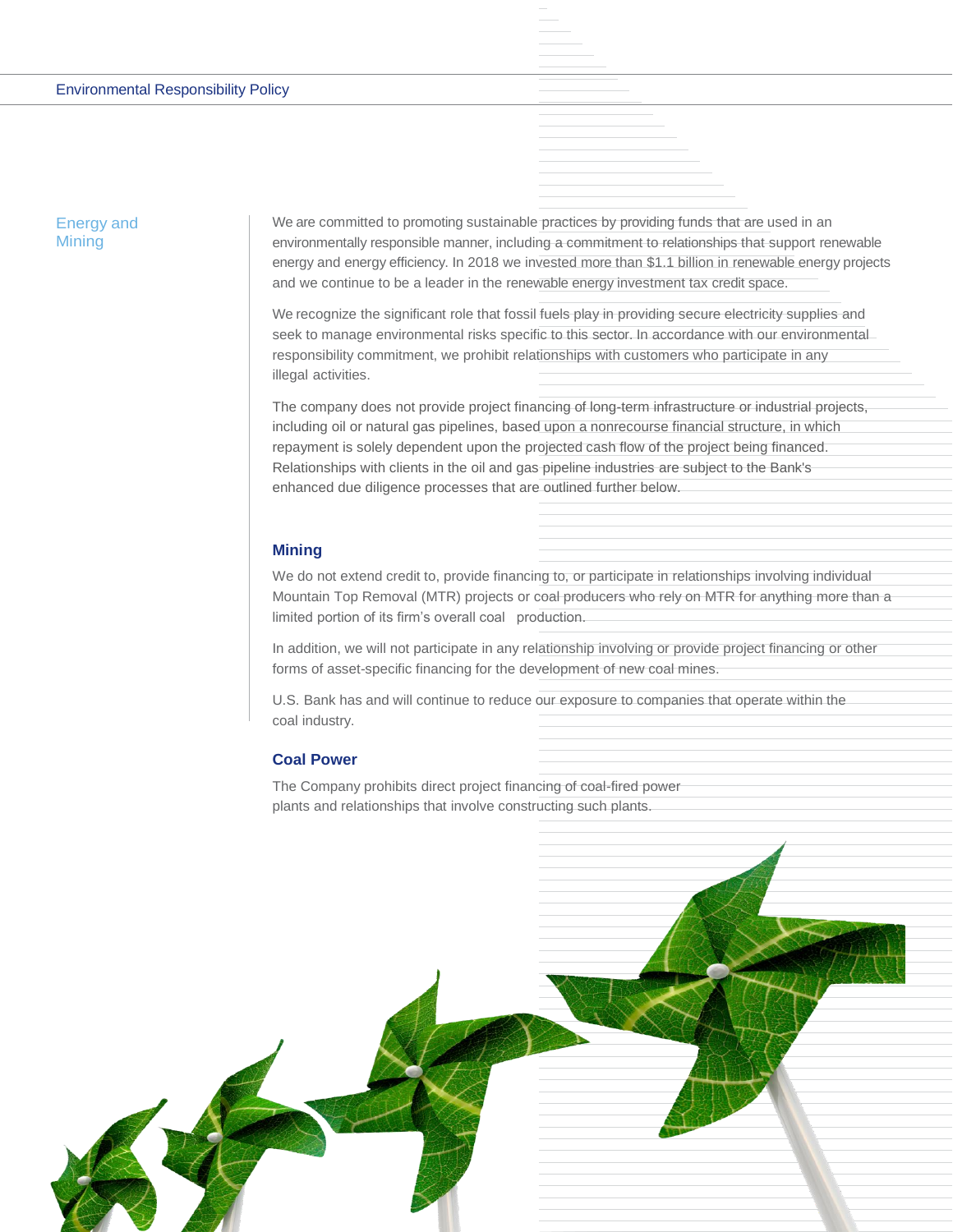#### Environmental Responsibility Policy

# Energy and **Mining**

We are committed to promoting sustainable practices by providing funds that are used in an environmentally responsible manner, including a commitment to relationships that support renewable energy and energy efficiency. In 2018 we invested more than \$1.1 billion in renewable energy projects and we continue to be a leader in the renewable energy investment tax credit space.

We recognize the significant role that fossil fuels play in providing secure electricity supplies and seek to manage environmental risks specific to this sector. In accordance with our environmental responsibility commitment, we prohibit relationships with customers who participate in any illegal activities.

The company does not provide project financing of long-term infrastructure or industrial projects, including oil or natural gas pipelines, based upon a nonrecourse financial structure, in which repayment is solely dependent upon the projected cash flow of the project being financed. Relationships with clients in the oil and gas pipeline industries are subject to the Bank's enhanced due diligence processes that are outlined further below.

#### **Mining**

We do not extend credit to, provide financing to, or participate in relationships involving individual Mountain Top Removal (MTR) projects or coal producers who rely on MTR for anything more than a limited portion of its firm's overall coal production.

In addition, we will not participate in any relationship involving or provide project financing or other forms of asset-specific financing for the development of new coal mines.

U.S. Bank has and will continue to reduce our exposure to companies that operate within the coal industry.

#### **Coal Power**

The Company prohibits direct project financing of coal-fired power plants and relationships that involve constructing such plants.